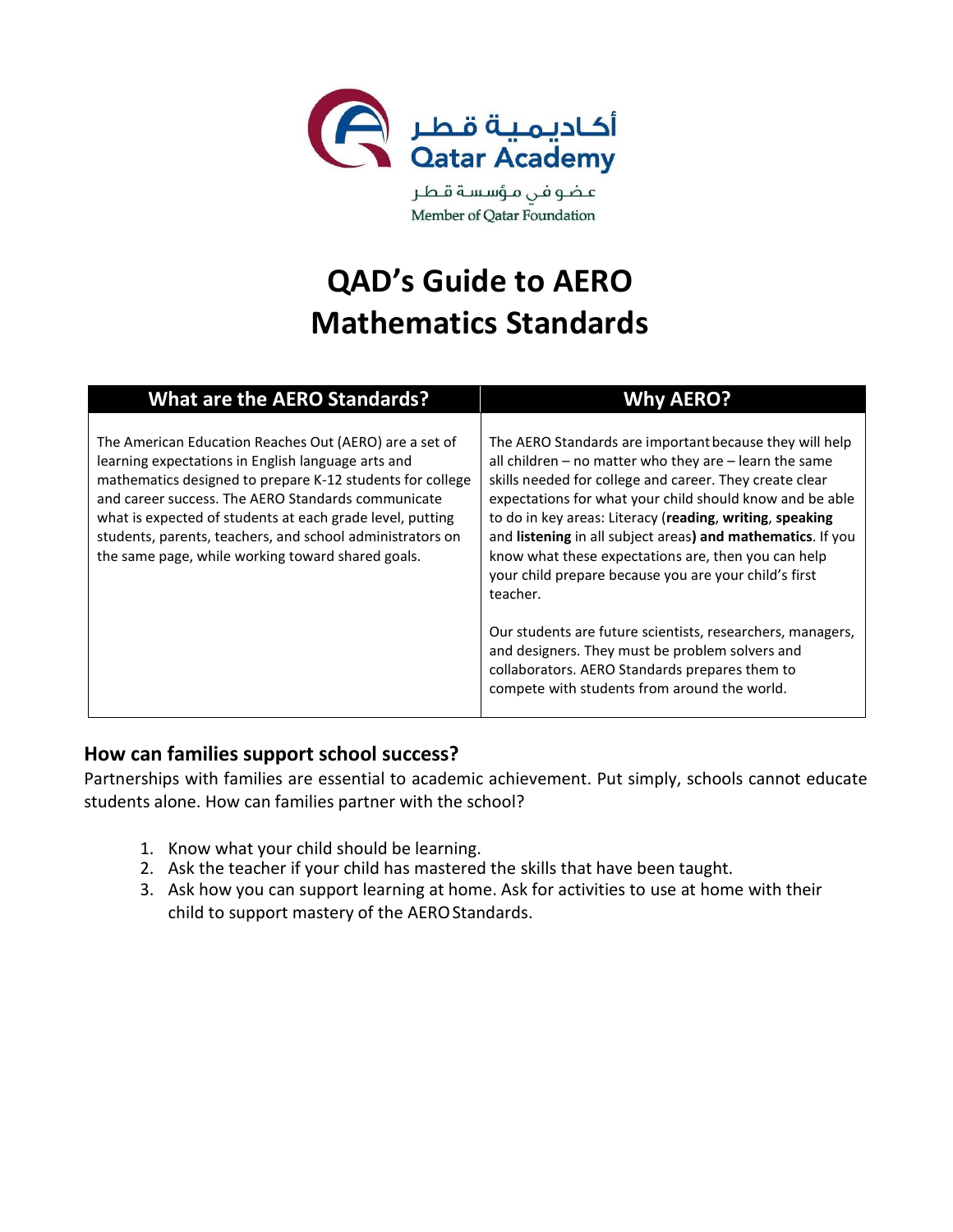

عضوفن مؤسسة قطر Member of Qatar Foundation

# **QAD's Guide to AERO Mathematics Standards**

| <b>What are the AERO Standards?</b>                                                                                                                                                                                                                                                                                                                                                                            | <b>Why AERO?</b>                                                                                                                                                                                                                                                                                                                                                                                                                                                                                                                                                                                                                                                                                                   |
|----------------------------------------------------------------------------------------------------------------------------------------------------------------------------------------------------------------------------------------------------------------------------------------------------------------------------------------------------------------------------------------------------------------|--------------------------------------------------------------------------------------------------------------------------------------------------------------------------------------------------------------------------------------------------------------------------------------------------------------------------------------------------------------------------------------------------------------------------------------------------------------------------------------------------------------------------------------------------------------------------------------------------------------------------------------------------------------------------------------------------------------------|
| The American Education Reaches Out (AERO) are a set of<br>learning expectations in English language arts and<br>mathematics designed to prepare K-12 students for college<br>and career success. The AERO Standards communicate<br>what is expected of students at each grade level, putting<br>students, parents, teachers, and school administrators on<br>the same page, while working toward shared goals. | The AERO Standards are important because they will help<br>all children - no matter who they are - learn the same<br>skills needed for college and career. They create clear<br>expectations for what your child should know and be able<br>to do in key areas: Literacy (reading, writing, speaking<br>and listening in all subject areas) and mathematics. If you<br>know what these expectations are, then you can help<br>your child prepare because you are your child's first<br>teacher.<br>Our students are future scientists, researchers, managers,<br>and designers. They must be problem solvers and<br>collaborators. AERO Standards prepares them to<br>compete with students from around the world. |

#### **How can families support school success?**

Partnerships with families are essential to academic achievement. Put simply, schools cannot educate students alone. How can families partner with the school?

- 1. Know what your child should be learning.
- 2. Ask the teacher if your child has mastered the skills that have been taught.
- 3. Ask how you can support learning at home. Ask for activities to use at home with their child to support mastery of the AERO Standards.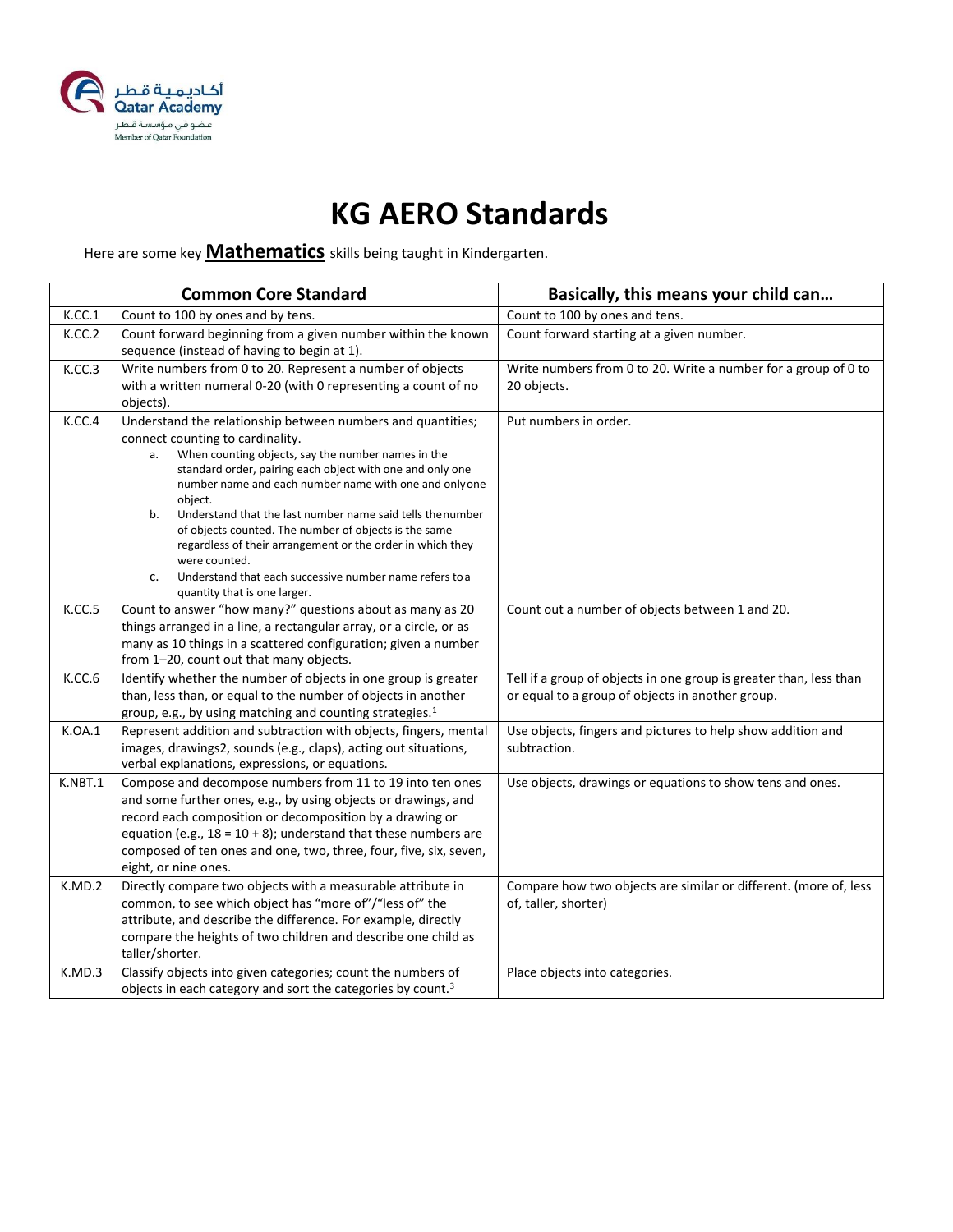

#### **KG AERO Standards**

#### Here are some key **Mathematics** skills being taught in Kindergarten.

|         | <b>Common Core Standard</b>                                                                                                                                                                                                                                                                                                                                                                                                                                                                                                                                                                               | Basically, this means your child can                                                                                   |
|---------|-----------------------------------------------------------------------------------------------------------------------------------------------------------------------------------------------------------------------------------------------------------------------------------------------------------------------------------------------------------------------------------------------------------------------------------------------------------------------------------------------------------------------------------------------------------------------------------------------------------|------------------------------------------------------------------------------------------------------------------------|
| K.CC.1  | Count to 100 by ones and by tens.                                                                                                                                                                                                                                                                                                                                                                                                                                                                                                                                                                         | Count to 100 by ones and tens.                                                                                         |
| K.CC.2  | Count forward beginning from a given number within the known<br>sequence (instead of having to begin at 1).                                                                                                                                                                                                                                                                                                                                                                                                                                                                                               | Count forward starting at a given number.                                                                              |
| K.CC.3  | Write numbers from 0 to 20. Represent a number of objects<br>with a written numeral 0-20 (with 0 representing a count of no<br>objects).                                                                                                                                                                                                                                                                                                                                                                                                                                                                  | Write numbers from 0 to 20. Write a number for a group of 0 to<br>20 objects.                                          |
| K.CC.4  | Understand the relationship between numbers and quantities;<br>connect counting to cardinality.<br>When counting objects, say the number names in the<br>a.<br>standard order, pairing each object with one and only one<br>number name and each number name with one and onlyone<br>object.<br>Understand that the last number name said tells the number<br>b.<br>of objects counted. The number of objects is the same<br>regardless of their arrangement or the order in which they<br>were counted.<br>Understand that each successive number name refers to a<br>c.<br>quantity that is one larger. | Put numbers in order.                                                                                                  |
| K.CC.5  | Count to answer "how many?" questions about as many as 20<br>things arranged in a line, a rectangular array, or a circle, or as<br>many as 10 things in a scattered configuration; given a number<br>from 1-20, count out that many objects.                                                                                                                                                                                                                                                                                                                                                              | Count out a number of objects between 1 and 20.                                                                        |
| K.CC.6  | Identify whether the number of objects in one group is greater<br>than, less than, or equal to the number of objects in another<br>group, e.g., by using matching and counting strategies. <sup>1</sup>                                                                                                                                                                                                                                                                                                                                                                                                   | Tell if a group of objects in one group is greater than, less than<br>or equal to a group of objects in another group. |
| K.OA.1  | Represent addition and subtraction with objects, fingers, mental<br>images, drawings2, sounds (e.g., claps), acting out situations,<br>verbal explanations, expressions, or equations.                                                                                                                                                                                                                                                                                                                                                                                                                    | Use objects, fingers and pictures to help show addition and<br>subtraction.                                            |
| K.NBT.1 | Compose and decompose numbers from 11 to 19 into ten ones<br>and some further ones, e.g., by using objects or drawings, and<br>record each composition or decomposition by a drawing or<br>equation (e.g., $18 = 10 + 8$ ); understand that these numbers are<br>composed of ten ones and one, two, three, four, five, six, seven,<br>eight, or nine ones.                                                                                                                                                                                                                                                | Use objects, drawings or equations to show tens and ones.                                                              |
| K.MD.2  | Directly compare two objects with a measurable attribute in<br>common, to see which object has "more of"/"less of" the<br>attribute, and describe the difference. For example, directly<br>compare the heights of two children and describe one child as<br>taller/shorter.                                                                                                                                                                                                                                                                                                                               | Compare how two objects are similar or different. (more of, less<br>of, taller, shorter)                               |
| K.MD.3  | Classify objects into given categories; count the numbers of<br>objects in each category and sort the categories by count. <sup>3</sup>                                                                                                                                                                                                                                                                                                                                                                                                                                                                   | Place objects into categories.                                                                                         |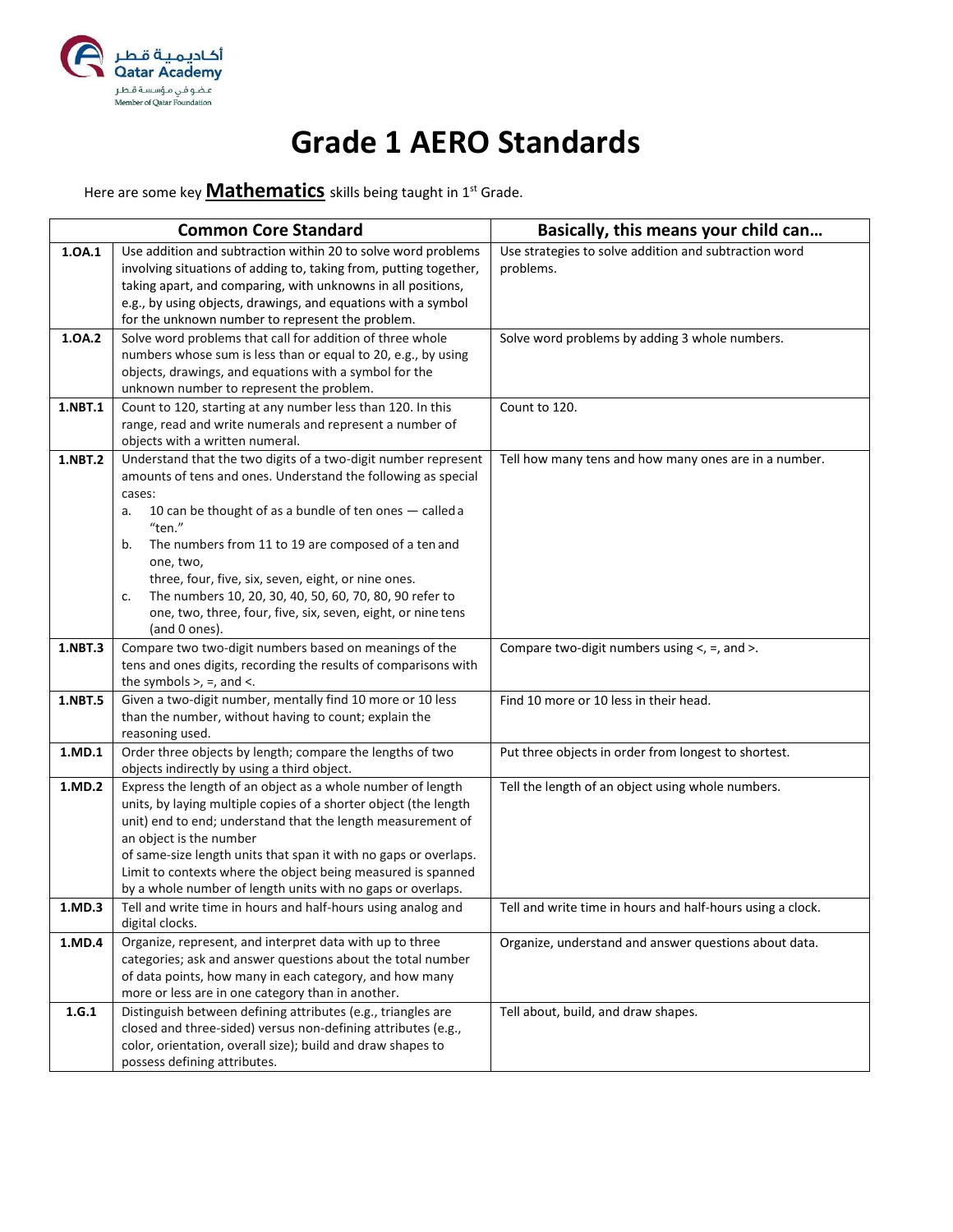

#### **Grade 1 AERO Standards**

Here are some key **Mathematics** skills being taught in 1st Grade.

|         | <b>Common Core Standard</b>                                                                 | Basically, this means your child can                       |
|---------|---------------------------------------------------------------------------------------------|------------------------------------------------------------|
| 1.0A.1  | Use addition and subtraction within 20 to solve word problems                               | Use strategies to solve addition and subtraction word      |
|         | involving situations of adding to, taking from, putting together,                           | problems.                                                  |
|         | taking apart, and comparing, with unknowns in all positions,                                |                                                            |
|         | e.g., by using objects, drawings, and equations with a symbol                               |                                                            |
|         | for the unknown number to represent the problem.                                            |                                                            |
| 1.0A.2  | Solve word problems that call for addition of three whole                                   | Solve word problems by adding 3 whole numbers.             |
|         | numbers whose sum is less than or equal to 20, e.g., by using                               |                                                            |
|         | objects, drawings, and equations with a symbol for the                                      |                                                            |
|         | unknown number to represent the problem.                                                    |                                                            |
| 1.NBT.1 | Count to 120, starting at any number less than 120. In this                                 | Count to 120.                                              |
|         | range, read and write numerals and represent a number of<br>objects with a written numeral. |                                                            |
| 1.NBT.2 | Understand that the two digits of a two-digit number represent                              | Tell how many tens and how many ones are in a number.      |
|         | amounts of tens and ones. Understand the following as special                               |                                                            |
|         | cases:                                                                                      |                                                            |
|         | 10 can be thought of as a bundle of ten ones - called a<br>a.                               |                                                            |
|         | "ten."                                                                                      |                                                            |
|         | The numbers from 11 to 19 are composed of a ten and<br>b.                                   |                                                            |
|         | one, two,                                                                                   |                                                            |
|         | three, four, five, six, seven, eight, or nine ones.                                         |                                                            |
|         | The numbers 10, 20, 30, 40, 50, 60, 70, 80, 90 refer to<br>c.                               |                                                            |
|         | one, two, three, four, five, six, seven, eight, or nine tens                                |                                                            |
|         | (and 0 ones).                                                                               |                                                            |
| 1.NBT.3 | Compare two two-digit numbers based on meanings of the                                      | Compare two-digit numbers using $\lt$ , =, and $\gt$ .     |
|         | tens and ones digits, recording the results of comparisons with                             |                                                            |
|         | the symbols $>$ , $=$ , and $<$ .                                                           |                                                            |
| 1.NBT.5 | Given a two-digit number, mentally find 10 more or 10 less                                  | Find 10 more or 10 less in their head.                     |
|         | than the number, without having to count; explain the<br>reasoning used.                    |                                                            |
| 1.MD.1  | Order three objects by length; compare the lengths of two                                   | Put three objects in order from longest to shortest.       |
|         | objects indirectly by using a third object.                                                 |                                                            |
| 1.MD.2  | Express the length of an object as a whole number of length                                 | Tell the length of an object using whole numbers.          |
|         | units, by laying multiple copies of a shorter object (the length                            |                                                            |
|         | unit) end to end; understand that the length measurement of                                 |                                                            |
|         | an object is the number                                                                     |                                                            |
|         | of same-size length units that span it with no gaps or overlaps.                            |                                                            |
|         | Limit to contexts where the object being measured is spanned                                |                                                            |
|         | by a whole number of length units with no gaps or overlaps.                                 |                                                            |
| 1.MD.3  | Tell and write time in hours and half-hours using analog and                                | Tell and write time in hours and half-hours using a clock. |
|         | digital clocks.                                                                             |                                                            |
| 1.MD.4  | Organize, represent, and interpret data with up to three                                    | Organize, understand and answer questions about data.      |
|         | categories; ask and answer questions about the total number                                 |                                                            |
|         | of data points, how many in each category, and how many                                     |                                                            |
|         | more or less are in one category than in another.                                           |                                                            |
| 1.G.1   | Distinguish between defining attributes (e.g., triangles are                                | Tell about, build, and draw shapes.                        |
|         | closed and three-sided) versus non-defining attributes (e.g.,                               |                                                            |
|         | color, orientation, overall size); build and draw shapes to                                 |                                                            |
|         | possess defining attributes.                                                                |                                                            |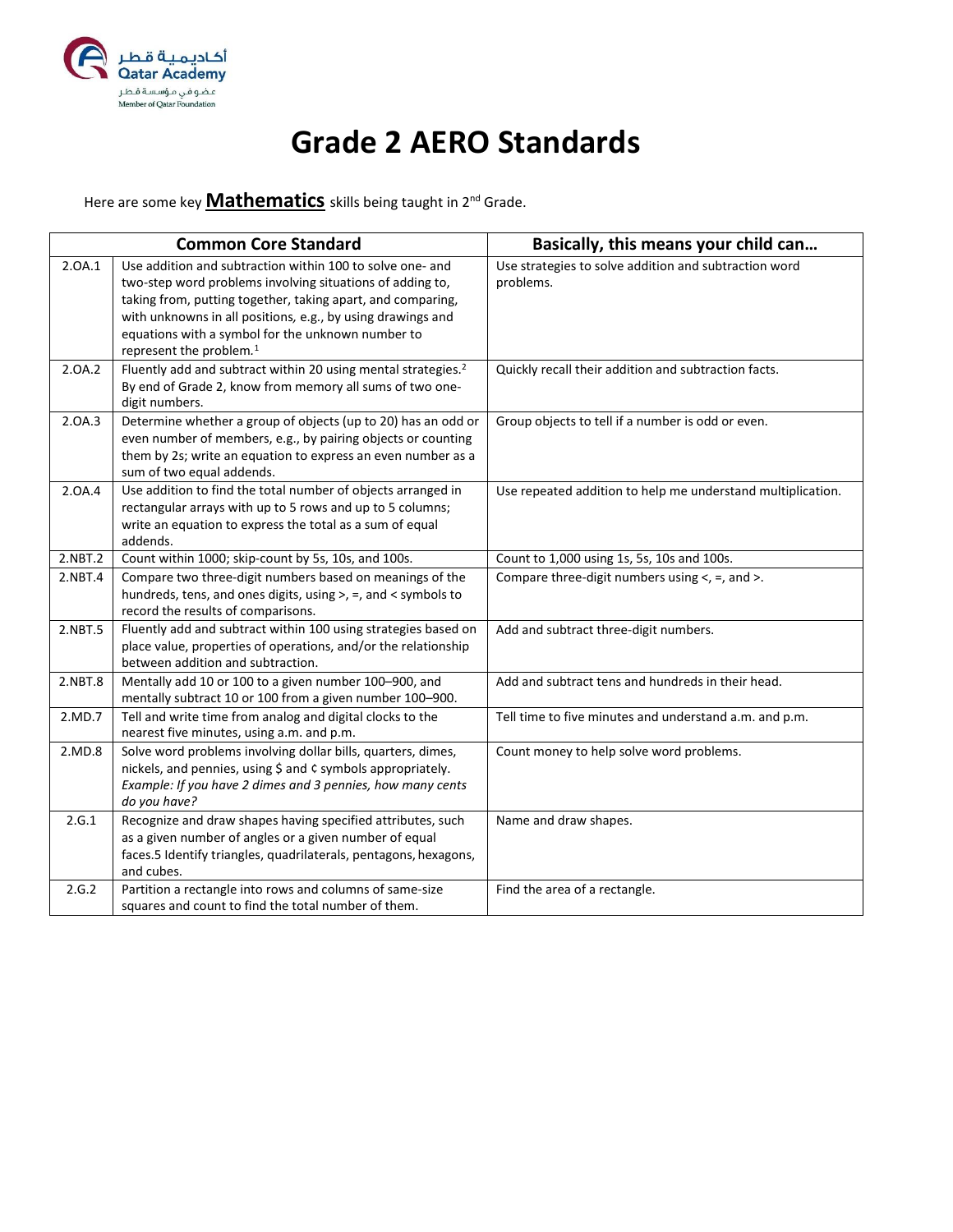

#### **Grade 2 AERO Standards**

Here are some key **Mathematics** skills being taught in 2nd Grade.

|         | <b>Common Core Standard</b>                                                                                                                                                                                                                                                                                                                      | Basically, this means your child can                               |
|---------|--------------------------------------------------------------------------------------------------------------------------------------------------------------------------------------------------------------------------------------------------------------------------------------------------------------------------------------------------|--------------------------------------------------------------------|
| 2.0A.1  | Use addition and subtraction within 100 to solve one- and<br>two-step word problems involving situations of adding to,<br>taking from, putting together, taking apart, and comparing,<br>with unknowns in all positions, e.g., by using drawings and<br>equations with a symbol for the unknown number to<br>represent the problem. <sup>1</sup> | Use strategies to solve addition and subtraction word<br>problems. |
| 2.0A.2  | Fluently add and subtract within 20 using mental strategies. <sup>2</sup><br>By end of Grade 2, know from memory all sums of two one-<br>digit numbers.                                                                                                                                                                                          | Quickly recall their addition and subtraction facts.               |
| 2.0A.3  | Determine whether a group of objects (up to 20) has an odd or<br>even number of members, e.g., by pairing objects or counting<br>them by 2s; write an equation to express an even number as a<br>sum of two equal addends.                                                                                                                       | Group objects to tell if a number is odd or even.                  |
| 2.0A.4  | Use addition to find the total number of objects arranged in<br>rectangular arrays with up to 5 rows and up to 5 columns;<br>write an equation to express the total as a sum of equal<br>addends.                                                                                                                                                | Use repeated addition to help me understand multiplication.        |
| 2.NBT.2 | Count within 1000; skip-count by 5s, 10s, and 100s.                                                                                                                                                                                                                                                                                              | Count to 1,000 using 1s, 5s, 10s and 100s.                         |
| 2.NBT.4 | Compare two three-digit numbers based on meanings of the<br>hundreds, tens, and ones digits, using >, =, and < symbols to<br>record the results of comparisons.                                                                                                                                                                                  | Compare three-digit numbers using <, =, and >.                     |
| 2.NBT.5 | Fluently add and subtract within 100 using strategies based on<br>place value, properties of operations, and/or the relationship<br>between addition and subtraction.                                                                                                                                                                            | Add and subtract three-digit numbers.                              |
| 2.NBT.8 | Mentally add 10 or 100 to a given number 100-900, and<br>mentally subtract 10 or 100 from a given number 100-900.                                                                                                                                                                                                                                | Add and subtract tens and hundreds in their head.                  |
| 2.MD.7  | Tell and write time from analog and digital clocks to the<br>nearest five minutes, using a.m. and p.m.                                                                                                                                                                                                                                           | Tell time to five minutes and understand a.m. and p.m.             |
| 2.MD.8  | Solve word problems involving dollar bills, quarters, dimes,<br>nickels, and pennies, using \$ and ¢ symbols appropriately.<br>Example: If you have 2 dimes and 3 pennies, how many cents<br>do you have?                                                                                                                                        | Count money to help solve word problems.                           |
| 2.G.1   | Recognize and draw shapes having specified attributes, such<br>as a given number of angles or a given number of equal<br>faces.5 Identify triangles, quadrilaterals, pentagons, hexagons,<br>and cubes.                                                                                                                                          | Name and draw shapes.                                              |
| 2.G.2   | Partition a rectangle into rows and columns of same-size<br>squares and count to find the total number of them.                                                                                                                                                                                                                                  | Find the area of a rectangle.                                      |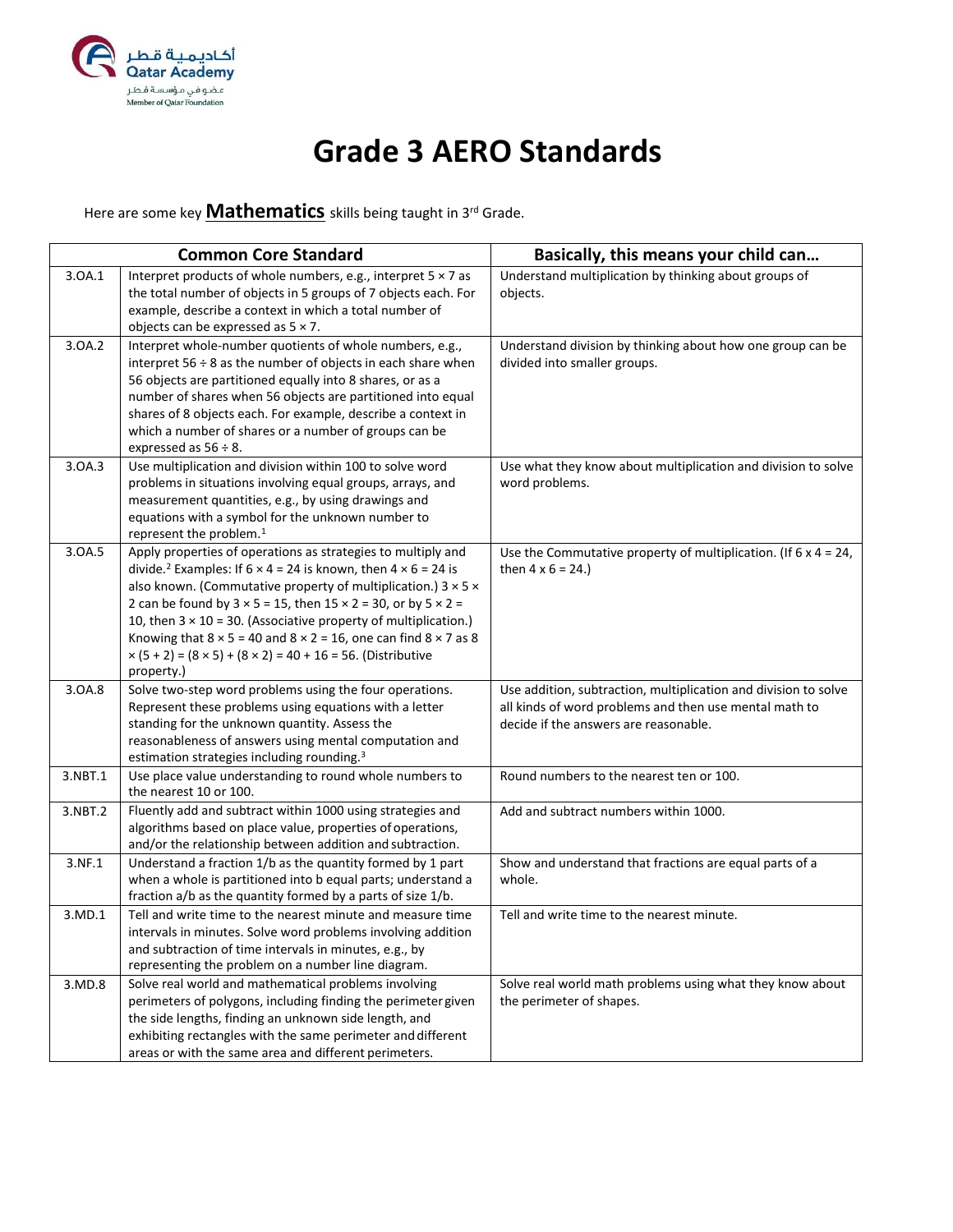

## **Grade 3 AERO Standards**

Here are some key **Mathematics** skills being taught in 3rd Grade.

|         | <b>Common Core Standard</b>                                                                                                                                                                                                                                                                                                                                                                                                                                                                                                                                                                        | Basically, this means your child can                                                                                                                               |
|---------|----------------------------------------------------------------------------------------------------------------------------------------------------------------------------------------------------------------------------------------------------------------------------------------------------------------------------------------------------------------------------------------------------------------------------------------------------------------------------------------------------------------------------------------------------------------------------------------------------|--------------------------------------------------------------------------------------------------------------------------------------------------------------------|
| 3.0A.1  | Interpret products of whole numbers, e.g., interpret $5 \times 7$ as<br>the total number of objects in 5 groups of 7 objects each. For<br>example, describe a context in which a total number of<br>objects can be expressed as $5 \times 7$ .                                                                                                                                                                                                                                                                                                                                                     | Understand multiplication by thinking about groups of<br>objects.                                                                                                  |
| 3.0A.2  | Interpret whole-number quotients of whole numbers, e.g.,<br>interpret $56 \div 8$ as the number of objects in each share when<br>56 objects are partitioned equally into 8 shares, or as a<br>number of shares when 56 objects are partitioned into equal<br>shares of 8 objects each. For example, describe a context in<br>which a number of shares or a number of groups can be<br>expressed as $56 \div 8$ .                                                                                                                                                                                   | Understand division by thinking about how one group can be<br>divided into smaller groups.                                                                         |
| 3.0A.3  | Use multiplication and division within 100 to solve word<br>problems in situations involving equal groups, arrays, and<br>measurement quantities, e.g., by using drawings and<br>equations with a symbol for the unknown number to<br>represent the problem. <sup>1</sup>                                                                                                                                                                                                                                                                                                                          | Use what they know about multiplication and division to solve<br>word problems.                                                                                    |
| 3.0A.5  | Apply properties of operations as strategies to multiply and<br>divide. <sup>2</sup> Examples: If $6 \times 4 = 24$ is known, then $4 \times 6 = 24$ is<br>also known. (Commutative property of multiplication.) $3 \times 5 \times$<br>2 can be found by $3 \times 5 = 15$ , then $15 \times 2 = 30$ , or by $5 \times 2 =$<br>10, then $3 \times 10 = 30$ . (Associative property of multiplication.)<br>Knowing that $8 \times 5 = 40$ and $8 \times 2 = 16$ , one can find $8 \times 7$ as 8<br>$\times$ (5 + 2) = (8 $\times$ 5) + (8 $\times$ 2) = 40 + 16 = 56. (Distributive<br>property.) | Use the Commutative property of multiplication. (If $6 \times 4 = 24$ ,<br>then $4 \times 6 = 24.$                                                                 |
| 3.0A.8  | Solve two-step word problems using the four operations.<br>Represent these problems using equations with a letter<br>standing for the unknown quantity. Assess the<br>reasonableness of answers using mental computation and<br>estimation strategies including rounding. <sup>3</sup>                                                                                                                                                                                                                                                                                                             | Use addition, subtraction, multiplication and division to solve<br>all kinds of word problems and then use mental math to<br>decide if the answers are reasonable. |
| 3.NBT.1 | Use place value understanding to round whole numbers to<br>the nearest 10 or 100.                                                                                                                                                                                                                                                                                                                                                                                                                                                                                                                  | Round numbers to the nearest ten or 100.                                                                                                                           |
| 3.NBT.2 | Fluently add and subtract within 1000 using strategies and<br>algorithms based on place value, properties of operations,<br>and/or the relationship between addition and subtraction.                                                                                                                                                                                                                                                                                                                                                                                                              | Add and subtract numbers within 1000.                                                                                                                              |
| 3.NF.1  | Understand a fraction 1/b as the quantity formed by 1 part<br>when a whole is partitioned into b equal parts; understand a<br>fraction a/b as the quantity formed by a parts of size 1/b.                                                                                                                                                                                                                                                                                                                                                                                                          | Show and understand that fractions are equal parts of a<br>whole.                                                                                                  |
| 3.MD.1  | Tell and write time to the nearest minute and measure time<br>intervals in minutes. Solve word problems involving addition<br>and subtraction of time intervals in minutes, e.g., by<br>representing the problem on a number line diagram.                                                                                                                                                                                                                                                                                                                                                         | Tell and write time to the nearest minute.                                                                                                                         |
| 3.MD.8  | Solve real world and mathematical problems involving<br>perimeters of polygons, including finding the perimeter given<br>the side lengths, finding an unknown side length, and<br>exhibiting rectangles with the same perimeter and different<br>areas or with the same area and different perimeters.                                                                                                                                                                                                                                                                                             | Solve real world math problems using what they know about<br>the perimeter of shapes.                                                                              |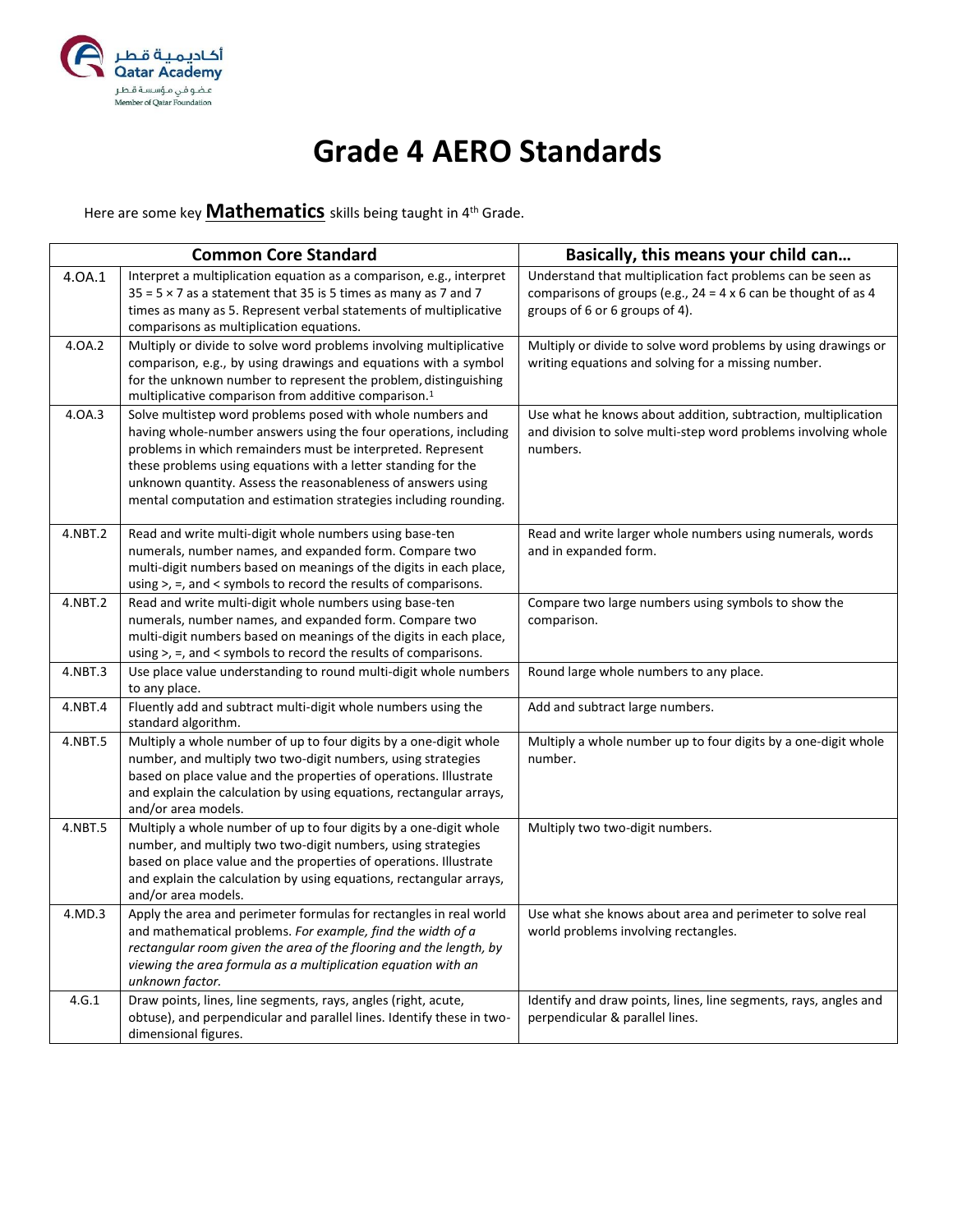

## **Grade 4 AERO Standards**

Here are some key **Mathematics** skills being taught in 4th Grade.

|         | <b>Common Core Standard</b>                                                                                                                                                                                                                                                                                                                                                                        | Basically, this means your child can                                                                                                                                   |
|---------|----------------------------------------------------------------------------------------------------------------------------------------------------------------------------------------------------------------------------------------------------------------------------------------------------------------------------------------------------------------------------------------------------|------------------------------------------------------------------------------------------------------------------------------------------------------------------------|
| 4.0A.1  | Interpret a multiplication equation as a comparison, e.g., interpret<br>$35 = 5 \times 7$ as a statement that 35 is 5 times as many as 7 and 7<br>times as many as 5. Represent verbal statements of multiplicative<br>comparisons as multiplication equations.                                                                                                                                    | Understand that multiplication fact problems can be seen as<br>comparisons of groups (e.g., $24 = 4 \times 6$ can be thought of as 4<br>groups of 6 or 6 groups of 4). |
| 4.0A.2  | Multiply or divide to solve word problems involving multiplicative<br>comparison, e.g., by using drawings and equations with a symbol<br>for the unknown number to represent the problem, distinguishing<br>multiplicative comparison from additive comparison. <sup>1</sup>                                                                                                                       | Multiply or divide to solve word problems by using drawings or<br>writing equations and solving for a missing number.                                                  |
| 4.0A.3  | Solve multistep word problems posed with whole numbers and<br>having whole-number answers using the four operations, including<br>problems in which remainders must be interpreted. Represent<br>these problems using equations with a letter standing for the<br>unknown quantity. Assess the reasonableness of answers using<br>mental computation and estimation strategies including rounding. | Use what he knows about addition, subtraction, multiplication<br>and division to solve multi-step word problems involving whole<br>numbers.                            |
| 4.NBT.2 | Read and write multi-digit whole numbers using base-ten<br>numerals, number names, and expanded form. Compare two<br>multi-digit numbers based on meanings of the digits in each place,<br>using >, =, and < symbols to record the results of comparisons.                                                                                                                                         | Read and write larger whole numbers using numerals, words<br>and in expanded form.                                                                                     |
| 4.NBT.2 | Read and write multi-digit whole numbers using base-ten<br>numerals, number names, and expanded form. Compare two<br>multi-digit numbers based on meanings of the digits in each place,<br>using >, =, and < symbols to record the results of comparisons.                                                                                                                                         | Compare two large numbers using symbols to show the<br>comparison.                                                                                                     |
| 4.NBT.3 | Use place value understanding to round multi-digit whole numbers<br>to any place.                                                                                                                                                                                                                                                                                                                  | Round large whole numbers to any place.                                                                                                                                |
| 4.NBT.4 | Fluently add and subtract multi-digit whole numbers using the<br>standard algorithm.                                                                                                                                                                                                                                                                                                               | Add and subtract large numbers.                                                                                                                                        |
| 4.NBT.5 | Multiply a whole number of up to four digits by a one-digit whole<br>number, and multiply two two-digit numbers, using strategies<br>based on place value and the properties of operations. Illustrate<br>and explain the calculation by using equations, rectangular arrays,<br>and/or area models.                                                                                               | Multiply a whole number up to four digits by a one-digit whole<br>number.                                                                                              |
| 4.NBT.5 | Multiply a whole number of up to four digits by a one-digit whole<br>number, and multiply two two-digit numbers, using strategies<br>based on place value and the properties of operations. Illustrate<br>and explain the calculation by using equations, rectangular arrays,<br>and/or area models.                                                                                               | Multiply two two-digit numbers.                                                                                                                                        |
| 4.MD.3  | Apply the area and perimeter formulas for rectangles in real world<br>and mathematical problems. For example, find the width of a<br>rectangular room given the area of the flooring and the length, by<br>viewing the area formula as a multiplication equation with an<br>unknown factor.                                                                                                        | Use what she knows about area and perimeter to solve real<br>world problems involving rectangles.                                                                      |
| 4.G.1   | Draw points, lines, line segments, rays, angles (right, acute,<br>obtuse), and perpendicular and parallel lines. Identify these in two-<br>dimensional figures.                                                                                                                                                                                                                                    | Identify and draw points, lines, line segments, rays, angles and<br>perpendicular & parallel lines.                                                                    |